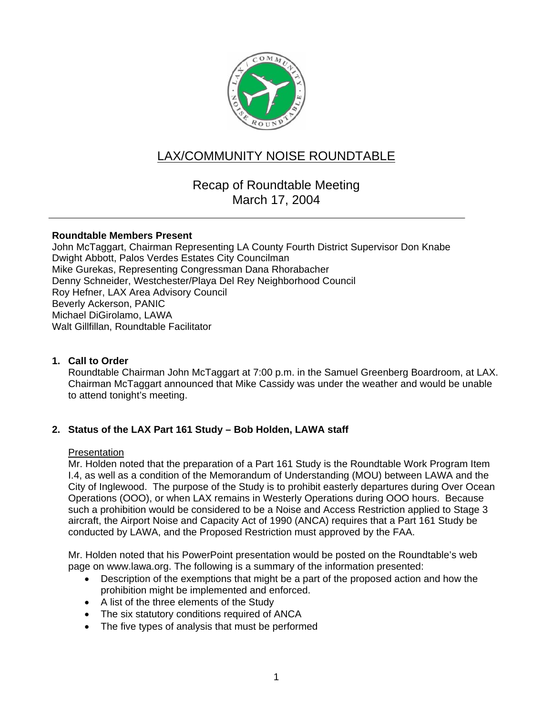

# LAX/COMMUNITY NOISE ROUNDTABLE

# Recap of Roundtable Meeting March 17, 2004

# **Roundtable Members Present**

John McTaggart, Chairman Representing LA County Fourth District Supervisor Don Knabe Dwight Abbott, Palos Verdes Estates City Councilman Mike Gurekas, Representing Congressman Dana Rhorabacher Denny Schneider, Westchester/Playa Del Rey Neighborhood Council Roy Hefner, LAX Area Advisory Council Beverly Ackerson, PANIC Michael DiGirolamo, LAWA Walt Gillfillan, Roundtable Facilitator

# **1. Call to Order**

Roundtable Chairman John McTaggart at 7:00 p.m. in the Samuel Greenberg Boardroom, at LAX. Chairman McTaggart announced that Mike Cassidy was under the weather and would be unable to attend tonight's meeting.

# **2. Status of the LAX Part 161 Study – Bob Holden, LAWA staff**

#### **Presentation**

Mr. Holden noted that the preparation of a Part 161 Study is the Roundtable Work Program Item I.4, as well as a condition of the Memorandum of Understanding (MOU) between LAWA and the City of Inglewood. The purpose of the Study is to prohibit easterly departures during Over Ocean Operations (OOO), or when LAX remains in Westerly Operations during OOO hours. Because such a prohibition would be considered to be a Noise and Access Restriction applied to Stage 3 aircraft, the Airport Noise and Capacity Act of 1990 (ANCA) requires that a Part 161 Study be conducted by LAWA, and the Proposed Restriction must approved by the FAA.

Mr. Holden noted that his PowerPoint presentation would be posted on the Roundtable's web page on www.lawa.org. The following is a summary of the information presented:

- Description of the exemptions that might be a part of the proposed action and how the prohibition might be implemented and enforced.
- A list of the three elements of the Study
- The six statutory conditions required of ANCA
- The five types of analysis that must be performed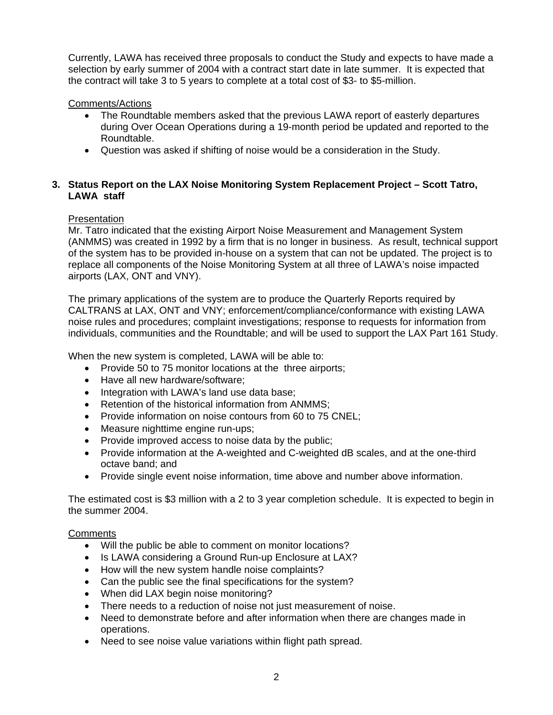Currently, LAWA has received three proposals to conduct the Study and expects to have made a selection by early summer of 2004 with a contract start date in late summer. It is expected that the contract will take 3 to 5 years to complete at a total cost of \$3- to \$5-million.

# Comments/Actions

- The Roundtable members asked that the previous LAWA report of easterly departures during Over Ocean Operations during a 19-month period be updated and reported to the Roundtable.
- Question was asked if shifting of noise would be a consideration in the Study.

# **3. Status Report on the LAX Noise Monitoring System Replacement Project – Scott Tatro, LAWA staff**

# **Presentation**

Mr. Tatro indicated that the existing Airport Noise Measurement and Management System (ANMMS) was created in 1992 by a firm that is no longer in business. As result, technical support of the system has to be provided in-house on a system that can not be updated. The project is to replace all components of the Noise Monitoring System at all three of LAWA's noise impacted airports (LAX, ONT and VNY).

The primary applications of the system are to produce the Quarterly Reports required by CALTRANS at LAX, ONT and VNY; enforcement/compliance/conformance with existing LAWA noise rules and procedures; complaint investigations; response to requests for information from individuals, communities and the Roundtable; and will be used to support the LAX Part 161 Study.

When the new system is completed, LAWA will be able to:

- Provide 50 to 75 monitor locations at the three airports;
- Have all new hardware/software;
- Integration with LAWA's land use data base;
- Retention of the historical information from ANMMS:
- Provide information on noise contours from 60 to 75 CNEL;
- Measure nighttime engine run-ups:
- Provide improved access to noise data by the public;
- Provide information at the A-weighted and C-weighted dB scales, and at the one-third octave band; and
- Provide single event noise information, time above and number above information.

The estimated cost is \$3 million with a 2 to 3 year completion schedule. It is expected to begin in the summer 2004.

# **Comments**

- Will the public be able to comment on monitor locations?
- Is LAWA considering a Ground Run-up Enclosure at LAX?
- How will the new system handle noise complaints?
- Can the public see the final specifications for the system?
- When did LAX begin noise monitoring?
- There needs to a reduction of noise not just measurement of noise.
- Need to demonstrate before and after information when there are changes made in operations.
- Need to see noise value variations within flight path spread.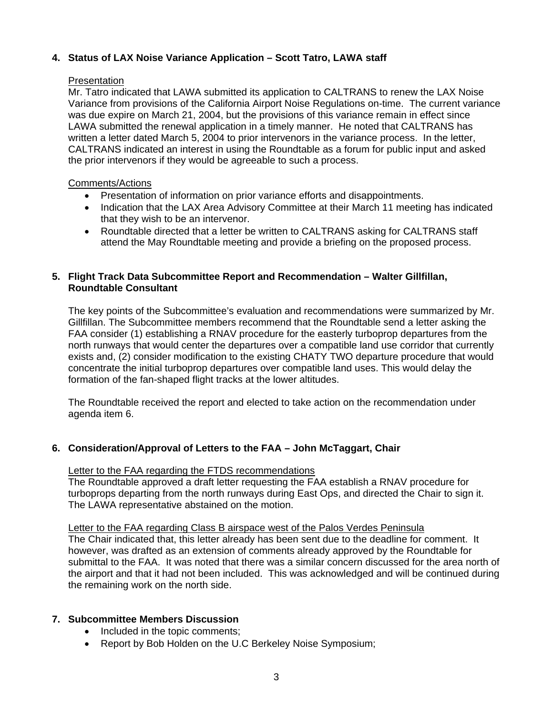# **4. Status of LAX Noise Variance Application – Scott Tatro, LAWA staff**

### **Presentation**

Mr. Tatro indicated that LAWA submitted its application to CALTRANS to renew the LAX Noise Variance from provisions of the California Airport Noise Regulations on-time. The current variance was due expire on March 21, 2004, but the provisions of this variance remain in effect since LAWA submitted the renewal application in a timely manner. He noted that CALTRANS has written a letter dated March 5, 2004 to prior intervenors in the variance process. In the letter, CALTRANS indicated an interest in using the Roundtable as a forum for public input and asked the prior intervenors if they would be agreeable to such a process.

### Comments/Actions

- Presentation of information on prior variance efforts and disappointments.
- Indication that the LAX Area Advisory Committee at their March 11 meeting has indicated that they wish to be an intervenor.
- Roundtable directed that a letter be written to CALTRANS asking for CALTRANS staff attend the May Roundtable meeting and provide a briefing on the proposed process.

# **5. Flight Track Data Subcommittee Report and Recommendation – Walter Gillfillan, Roundtable Consultant**

The key points of the Subcommittee's evaluation and recommendations were summarized by Mr. Gillfillan. The Subcommittee members recommend that the Roundtable send a letter asking the FAA consider (1) establishing a RNAV procedure for the easterly turboprop departures from the north runways that would center the departures over a compatible land use corridor that currently exists and, (2) consider modification to the existing CHATY TWO departure procedure that would concentrate the initial turboprop departures over compatible land uses. This would delay the formation of the fan-shaped flight tracks at the lower altitudes.

The Roundtable received the report and elected to take action on the recommendation under agenda item 6.

# **6. Consideration/Approval of Letters to the FAA – John McTaggart, Chair**

# Letter to the FAA regarding the FTDS recommendations

The Roundtable approved a draft letter requesting the FAA establish a RNAV procedure for turboprops departing from the north runways during East Ops, and directed the Chair to sign it. The LAWA representative abstained on the motion.

Letter to the FAA regarding Class B airspace west of the Palos Verdes Peninsula

The Chair indicated that, this letter already has been sent due to the deadline for comment. It however, was drafted as an extension of comments already approved by the Roundtable for submittal to the FAA. It was noted that there was a similar concern discussed for the area north of the airport and that it had not been included. This was acknowledged and will be continued during the remaining work on the north side.

# **7. Subcommittee Members Discussion**

- Included in the topic comments;
- Report by Bob Holden on the U.C Berkeley Noise Symposium;